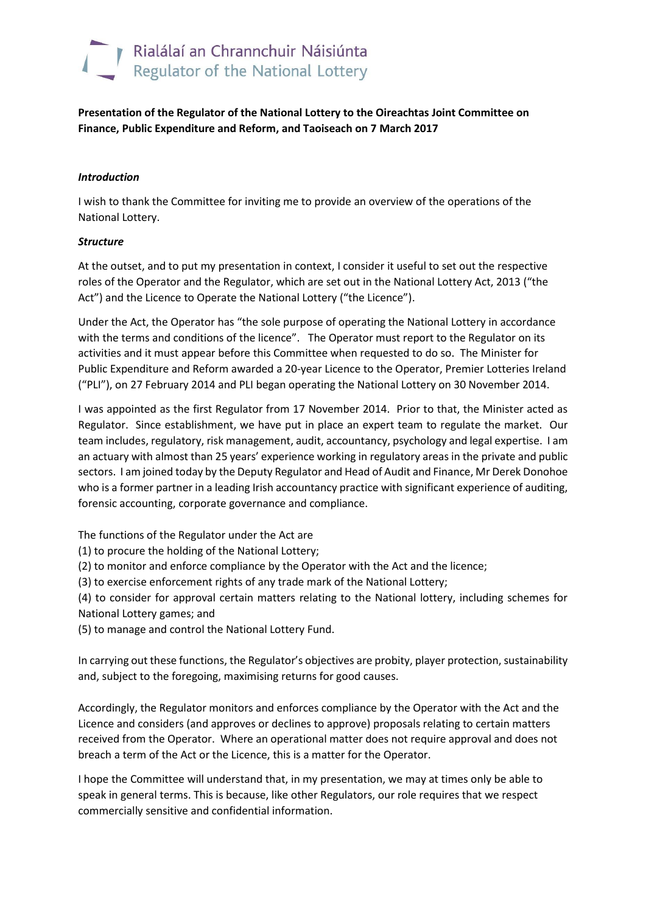# Rialálaí an Chrannchuir Náisiúnta<br>Regulator of the National Lottery

**Presentation of the Regulator of the National Lottery to the Oireachtas Joint Committee on Finance, Public Expenditure and Reform, and Taoiseach on 7 March 2017**

## *Introduction*

I wish to thank the Committee for inviting me to provide an overview of the operations of the National Lottery.

## *Structure*

At the outset, and to put my presentation in context, I consider it useful to set out the respective roles of the Operator and the Regulator, which are set out in the National Lottery Act, 2013 ("the Act") and the Licence to Operate the National Lottery ("the Licence").

Under the Act, the Operator has "the sole purpose of operating the National Lottery in accordance with the terms and conditions of the licence". The Operator must report to the Regulator on its activities and it must appear before this Committee when requested to do so. The Minister for Public Expenditure and Reform awarded a 20-year Licence to the Operator, Premier Lotteries Ireland ("PLI"), on 27 February 2014 and PLI began operating the National Lottery on 30 November 2014.

I was appointed as the first Regulator from 17 November 2014. Prior to that, the Minister acted as Regulator. Since establishment, we have put in place an expert team to regulate the market. Our team includes, regulatory, risk management, audit, accountancy, psychology and legal expertise. I am an actuary with almost than 25 years' experience working in regulatory areas in the private and public sectors. I am joined today by the Deputy Regulator and Head of Audit and Finance, Mr Derek Donohoe who is a former partner in a leading Irish accountancy practice with significant experience of auditing, forensic accounting, corporate governance and compliance.

The functions of the Regulator under the Act are

(1) to procure the holding of the National Lottery;

(2) to monitor and enforce compliance by the Operator with the Act and the licence;

(3) to exercise enforcement rights of any trade mark of the National Lottery;

(4) to consider for approval certain matters relating to the National lottery, including schemes for National Lottery games; and

(5) to manage and control the National Lottery Fund.

In carrying out these functions, the Regulator's objectives are probity, player protection, sustainability and, subject to the foregoing, maximising returns for good causes.

Accordingly, the Regulator monitors and enforces compliance by the Operator with the Act and the Licence and considers (and approves or declines to approve) proposals relating to certain matters received from the Operator. Where an operational matter does not require approval and does not breach a term of the Act or the Licence, this is a matter for the Operator.

I hope the Committee will understand that, in my presentation, we may at times only be able to speak in general terms. This is because, like other Regulators, our role requires that we respect commercially sensitive and confidential information.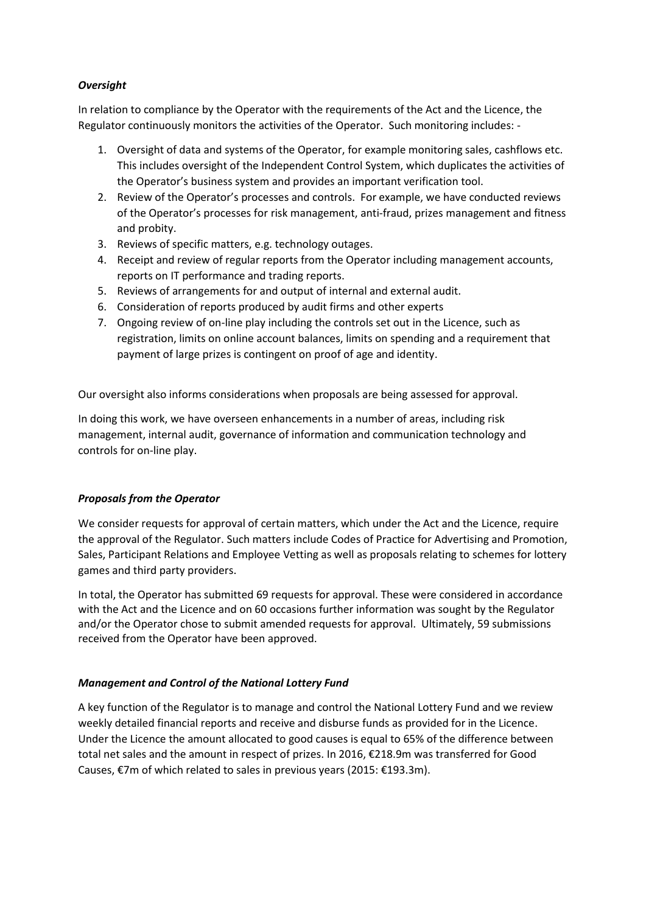## *Oversight*

In relation to compliance by the Operator with the requirements of the Act and the Licence, the Regulator continuously monitors the activities of the Operator. Such monitoring includes: -

- 1. Oversight of data and systems of the Operator, for example monitoring sales, cashflows etc. This includes oversight of the Independent Control System, which duplicates the activities of the Operator's business system and provides an important verification tool.
- 2. Review of the Operator's processes and controls. For example, we have conducted reviews of the Operator's processes for risk management, anti-fraud, prizes management and fitness and probity.
- 3. Reviews of specific matters, e.g. technology outages.
- 4. Receipt and review of regular reports from the Operator including management accounts, reports on IT performance and trading reports.
- 5. Reviews of arrangements for and output of internal and external audit.
- 6. Consideration of reports produced by audit firms and other experts
- 7. Ongoing review of on-line play including the controls set out in the Licence, such as registration, limits on online account balances, limits on spending and a requirement that payment of large prizes is contingent on proof of age and identity.

Our oversight also informs considerations when proposals are being assessed for approval.

In doing this work, we have overseen enhancements in a number of areas, including risk management, internal audit, governance of information and communication technology and controls for on-line play.

# *Proposals from the Operator*

We consider requests for approval of certain matters, which under the Act and the Licence, require the approval of the Regulator. Such matters include Codes of Practice for Advertising and Promotion, Sales, Participant Relations and Employee Vetting as well as proposals relating to schemes for lottery games and third party providers.

In total, the Operator has submitted 69 requests for approval. These were considered in accordance with the Act and the Licence and on 60 occasions further information was sought by the Regulator and/or the Operator chose to submit amended requests for approval. Ultimately, 59 submissions received from the Operator have been approved.

# *Management and Control of the National Lottery Fund*

A key function of the Regulator is to manage and control the National Lottery Fund and we review weekly detailed financial reports and receive and disburse funds as provided for in the Licence. Under the Licence the amount allocated to good causes is equal to 65% of the difference between total net sales and the amount in respect of prizes. In 2016, €218.9m was transferred for Good Causes, €7m of which related to sales in previous years (2015: €193.3m).